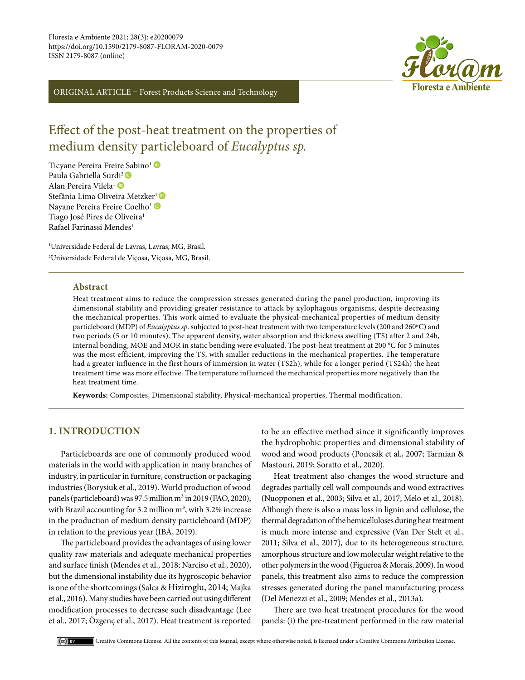

ORIGINAL ARTICLE – Forest Products Science and Technology

# Effect of the post-heat treatment on the properties of medium density particleboard of *Eucalyptus sp.*

Ticyane Pereira Freire [Sa](https://orcid.org/0000-0003-0434-9632)bino<sup>1</sup> Paula Gabriella Sur[di](https://orcid.org/0000-0001-6754-1897)<sup>2</sup> Alan Pereira Vilela1 Stefânia Lima Olivei[r](https://orcid.org/0000-0002-5695-1273)aMetzker<sup>1</sup> Nayane Pereira Freire Coelho<sup>1</sup> Tiago José Pires de Oliveira<sup>1</sup> Rafael Farinassi Mendes<sup>1</sup>

1 Universidade Federal de Lavras, Lavras, MG, Brasil. 2 Universidade Federal de Viçosa, Viçosa, MG, Brasil.

#### **Abstract**

Heat treatment aims to reduce the compression stresses generated during the panel production, improving its dimensional stability and providing greater resistance to attack by xylophagous organisms, despite decreasing the mechanical properties. This work aimed to evaluate the physical-mechanical properties of medium density particleboard (MDP) of *Eucalyptus sp*. subjected to post-heat treatment with two temperature levels (200 and 260ºC) and two periods (5 or 10 minutes). The apparent density, water absorption and thickness swelling (TS) after 2 and 24h, internal bonding, MOE and MOR in static bending were evaluated. The post-heat treatment at 200 °C for 5 minutes was the most efficient, improving the TS, with smaller reductions in the mechanical properties. The temperature had a greater influence in the first hours of immersion in water (TS2h), while for a longer period (TS24h) the heat treatment time was more effective. The temperature influenced the mechanical properties more negatively than the heat treatment time.

**Keywords:** Composites, Dimensional stability, Physical-mechanical properties, Thermal modification.

## **1. INTRODUCTION**

Particleboards are one of commonly produced wood materials in the world with application in many branches of industry, in particular in furniture, construction or packaging industries (Borysiuk et al., 2019). World production of wood panels (particleboard) was 97.5 million  $m<sup>3</sup>$  in 2019 (FAO, 2020), with Brazil accounting for 3.2 million  $m<sup>3</sup>$ , with 3.2% increase in the production of medium density particleboard (MDP) in relation to the previous year (IBÁ, 2019).

The particleboard provides the advantages of using lower quality raw materials and adequate mechanical properties and surface finish (Mendes et al., 2018; Narciso et al., 2020), but the dimensional instability due its hygroscopic behavior is one of the shortcomings (Salca & Hiziroglu, 2014; Majka et al., 2016). Many studies have been carried out using different modification processes to decrease such disadvantage (Lee et al., 2017; Özgenç et al., 2017). Heat treatment is reported to be an effective method since it significantly improves the hydrophobic properties and dimensional stability of wood and wood products (Poncsák et al., 2007; Tarmian & Mastouri, 2019; Soratto et al., 2020).

Heat treatment also changes the wood structure and degrades partially cell wall compounds and wood extractives (Nuopponen et al., 2003; Silva et al., 2017; Melo et al., 2018). Although there is also a mass loss in lignin and cellulose, the thermal degradation of the hemicelluloses during heat treatment is much more intense and expressive (Van Der Stelt et al., 2011; Silva et al., 2017), due to its heterogeneous structure, amorphous structure and low molecular weight relative to the other polymers in the wood (Figueroa & Morais, 2009). In wood panels, this treatment also aims to reduce the compression stresses generated during the panel manufacturing process (Del Menezzi et al., 2009; Mendes et al., 2013a).

There are two heat treatment procedures for the wood panels: (i) the pre-treatment performed in the raw material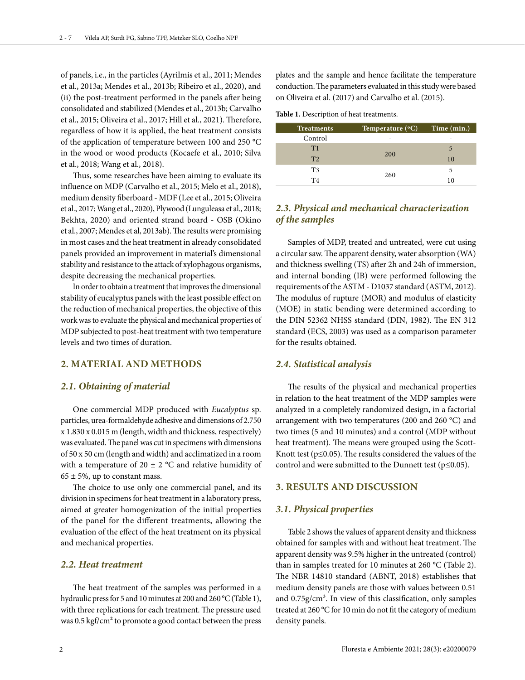of panels, i.e., in the particles (Ayrilmis et al., 2011; Mendes et al., 2013a; Mendes et al., 2013b; Ribeiro et al., 2020), and (ii) the post-treatment performed in the panels after being consolidated and stabilized (Mendes et al., 2013b; Carvalho et al., 2015; Oliveira et al., 2017; Hill et al., 2021). Therefore, regardless of how it is applied, the heat treatment consists of the application of temperature between 100 and 250 °C in the wood or wood products (Kocaefe et al., 2010; Silva et al., 2018; Wang et al., 2018).

Thus, some researches have been aiming to evaluate its influence on MDP (Carvalho et al., 2015; Melo et al., 2018), medium density fiberboard - MDF (Lee et al., 2015; Oliveira et al., 2017; Wang et al., 2020), Plywood (Lunguleasa et al., 2018; Bekhta, 2020) and oriented strand board - OSB (Okino et al., 2007; Mendes et al, 2013ab). The results were promising in most cases and the heat treatment in already consolidated panels provided an improvement in material's dimensional stability and resistance to the attack of xylophagous organisms, despite decreasing the mechanical properties.

In order to obtain a treatment that improves the dimensional stability of eucalyptus panels with the least possible effect on the reduction of mechanical properties, the objective of this work was to evaluate the physical and mechanical properties of MDP subjected to post-heat treatment with two temperature levels and two times of duration.

## **2. MATERIAL AND METHODS**

#### *2.1. Obtaining of material*

One commercial MDP produced with *Eucalyptus* sp. particles, urea-formaldehyde adhesive and dimensions of 2.750 x 1.830 x 0.015 m (length, width and thickness, respectively) was evaluated. The panel was cut in specimens with dimensions of 50 x 50 cm (length and width) and acclimatized in a room with a temperature of 20  $\pm$  2 °C and relative humidity of  $65 \pm 5$ %, up to constant mass.

The choice to use only one commercial panel, and its division in specimens for heat treatment in a laboratory press, aimed at greater homogenization of the initial properties of the panel for the different treatments, allowing the evaluation of the effect of the heat treatment on its physical and mechanical properties.

# *2.2. Heat treatment*

The heat treatment of the samples was performed in a hydraulic press for 5 and 10 minutes at 200 and 260 °C (Table 1), with three replications for each treatment. The pressure used was 0.5 kgf/cm² to promote a good contact between the press

plates and the sample and hence facilitate the temperature conduction. The parameters evaluated in this study were based on Oliveira et al. (2017) and Carvalho et al. (2015).

**Table 1.** Description of heat treatments.

| <b>Treatments</b> | Temperature $({}^{\circ}C)$ | Time (min.) |
|-------------------|-----------------------------|-------------|
| Control           |                             |             |
| T1                |                             | 5           |
| T <sub>2</sub>    | 200                         | 10          |
| T <sub>3</sub>    |                             | 5           |
| T4                | 260                         |             |

# *2.3. Physical and mechanical characterization of the samples*

Samples of MDP, treated and untreated, were cut using a circular saw. The apparent density, water absorption (WA) and thickness swelling (TS) after 2h and 24h of immersion, and internal bonding (IB) were performed following the requirements of the ASTM - D1037 standard (ASTM, 2012). The modulus of rupture (MOR) and modulus of elasticity (MOE) in static bending were determined according to the DIN 52362 NHSS standard (DIN, 1982). The EN 312 standard (ECS, 2003) was used as a comparison parameter for the results obtained.

#### *2.4. Statistical analysis*

The results of the physical and mechanical properties in relation to the heat treatment of the MDP samples were analyzed in a completely randomized design, in a factorial arrangement with two temperatures (200 and 260 °C) and two times (5 and 10 minutes) and a control (MDP without heat treatment). The means were grouped using the Scott-Knott test ( $p \le 0.05$ ). The results considered the values of the control and were submitted to the Dunnett test ( $p \le 0.05$ ).

#### **3. RESULTS AND DISCUSSION**

#### *3.1. Physical properties*

Table 2 shows the values of apparent density and thickness obtained for samples with and without heat treatment. The apparent density was 9.5% higher in the untreated (control) than in samples treated for 10 minutes at 260 °C (Table 2). The NBR 14810 standard (ABNT, 2018) establishes that medium density panels are those with values between 0.51 and  $0.75$ g/cm<sup>3</sup>. In view of this classification, only samples treated at 260 °C for 10 min do not fit the category of medium density panels.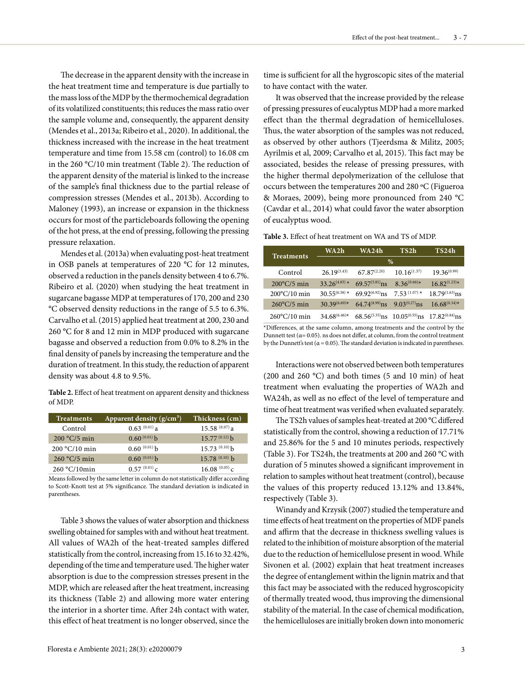The decrease in the apparent density with the increase in the heat treatment time and temperature is due partially to the mass loss of the MDP by the thermochemical degradation of its volatilized constituents; this reduces the mass ratio over the sample volume and, consequently, the apparent density (Mendes et al., 2013a; Ribeiro et al., 2020). In additional, the thickness increased with the increase in the heat treatment temperature and time from 15.58 cm (control) to 16.08 cm in the 260 °C/10 min treatment (Table 2). The reduction of the apparent density of the material is linked to the increase of the sample's final thickness due to the partial release of compression stresses (Mendes et al., 2013b). According to Maloney (1993), an increase or expansion in the thickness occurs for most of the particleboards following the opening of the hot press, at the end of pressing, following the pressing pressure relaxation.

Mendes et al. (2013a) when evaluating post-heat treatment in OSB panels at temperatures of 220 °C for 12 minutes, observed a reduction in the panels density between 4 to 6.7%. Ribeiro et al. (2020) when studying the heat treatment in sugarcane bagasse MDP at temperatures of 170, 200 and 230 °C observed density reductions in the range of 5.5 to 6.3%. Carvalho et al. (2015) applied heat treatment at 200, 230 and 260 °C for 8 and 12 min in MDP produced with sugarcane bagasse and observed a reduction from 0.0% to 8.2% in the final density of panels by increasing the temperature and the duration of treatment. In this study, the reduction of apparent density was about 4.8 to 9.5%.

**Table 2.** Effect of heat treatment on apparent density and thickness of MDP.

| Treatments      | Apparent density $(g/cm3)$ | Thickness (cm)     |
|-----------------|----------------------------|--------------------|
| Control         | $0.63^{(0.01)}$ a          | $15.58^{(0.07)}$ a |
| $200 °C/5$ min  | $0.60^{(0.01)}$ b          | $15.77^{(0.12)}$ b |
| $200 °C/10$ min | $0.60^{(0.01)}$ b          | $15.73^{(0.10)}$ b |
| $260 °C/5$ min  | $0.60^{(0.01)}$            | $15.78^{(0.10)}$ b |
| $260 °C/10$ min | $0.57^{(0.01)}c$           | $16.08^{(0.05)}c$  |

Means followed by the same letter in column do not statistically differ according to Scott-Knott test at 5% significance. The standard deviation is indicated in parentheses.

Table 3 shows the values of water absorption and thickness swelling obtained for samples with and without heat treatment. All values of WA2h of the heat-treated samples differed statistically from the control, increasing from 15.16 to 32.42%, depending of the time and temperature used. The higher water absorption is due to the compression stresses present in the MDP, which are released after the heat treatment, increasing its thickness (Table 2) and allowing more water entering the interior in a shorter time. After 24h contact with water, this effect of heat treatment is no longer observed, since the

It was observed that the increase provided by the release of pressing pressures of eucalyptus MDP had a more marked effect than the thermal degradation of hemicelluloses. Thus, the water absorption of the samples was not reduced, as observed by other authors (Tjeerdsma & Militz, 2005; Ayrilmis et al, 2009; Carvalho et al, 2015). This fact may be associated, besides the release of pressing pressures, with the higher thermal depolymerization of the cellulose that occurs between the temperatures 200 and 280 ºC (Figueroa & Moraes, 2009), being more pronounced from 240 °C (Cavdar et al., 2014) what could favor the water absorption of eucalyptus wood.

**Table 3.** Effect of heat treatment on WA and TS of MDP.

|                        | WA 2h                 | <b>WA24h</b>                           | TS2h                                                                      | TS24h                 |
|------------------------|-----------------------|----------------------------------------|---------------------------------------------------------------------------|-----------------------|
| <b>Treatments</b>      | %                     |                                        |                                                                           |                       |
| Control                | $26.19^{(3.43)}$      | $67.87^{(2.20)}$                       | $10.16^{(1.37)}$                                                          | $19.36^{(0.99)}$      |
| $200^{\circ}$ C/5 min  | $33.26^{(4.83)*}$     | $69.57^{(5.81)}$ ns                    | $8.36^{(0.66)\ast}$                                                       | $16.82^{(1.23)\ast}$  |
| $200^{\circ}$ C/10 min | $30.55^{(6.38)*}$     | $69.92^{(6.92)}$ ns                    | $7.53^{(1.07)*}$                                                          | $18.79^{(1.63)}$ ns   |
| $260^{\circ}$ C/5 min  | $30.39^{(6.69)*}$     | $64.74^{(8.99)}$ ns $9.03^{(0.27)}$ ns |                                                                           | $16.68^{(0.34)\star}$ |
| $260^{\circ}$ C/10 min | $34.68^{(6.46)\star}$ |                                        | $68.56^{(5.35)}$ ns 10.05 <sup>(0.55)</sup> ns 17.82 <sup>(0.84)</sup> ns |                       |

\*Differences, at the same column, among treatments and the control by the Dunnett test ( $\alpha$ = 0.05). ns does not differ, at column, from the control treatment by the Dunnett's test ( $\alpha$  = 0.05). The standard deviation is indicated in parentheses.

Interactions were not observed between both temperatures (200 and 260  $^{\circ}$ C) and both times (5 and 10 min) of heat treatment when evaluating the properties of WA2h and WA24h, as well as no effect of the level of temperature and time of heat treatment was verified when evaluated separately.

The TS2h values of samples heat-treated at 200 °C differed statistically from the control, showing a reduction of 17.71% and 25.86% for the 5 and 10 minutes periods, respectively (Table 3). For TS24h, the treatments at 200 and 260 °C with duration of 5 minutes showed a significant improvement in relation to samples without heat treatment (control), because the values of this property reduced 13.12% and 13.84%, respectively (Table 3).

Winandy and Krzysik (2007) studied the temperature and time effects of heat treatment on the properties of MDF panels and affirm that the decrease in thickness swelling values is related to the inhibition of moisture absorption of the material due to the reduction of hemicellulose present in wood. While Sivonen et al. (2002) explain that heat treatment increases the degree of entanglement within the lignin matrix and that this fact may be associated with the reduced hygroscopicity of thermally treated wood, thus improving the dimensional stability of the material. In the case of chemical modification, the hemicelluloses are initially broken down into monomeric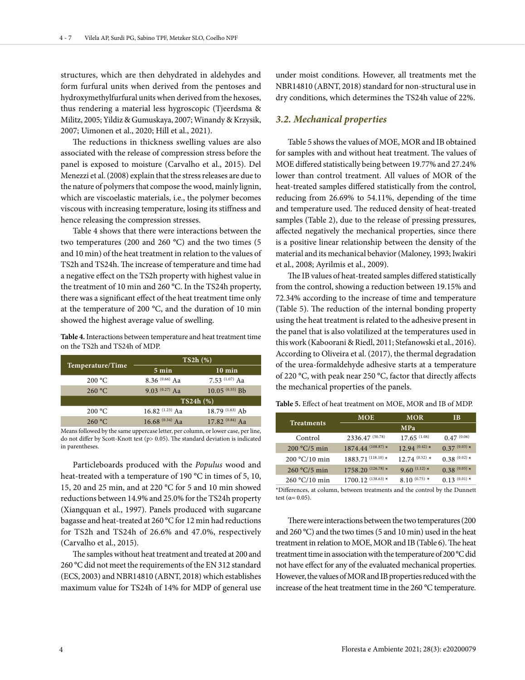structures, which are then dehydrated in aldehydes and form furfural units when derived from the pentoses and hydroxymethylfurfural units when derived from the hexoses, thus rendering a material less hygroscopic (Tjeerdsma & Militz, 2005; Yildiz & Gumuskaya, 2007; Winandy & Krzysik, 2007; Uimonen et al., 2020; Hill et al., 2021).

The reductions in thickness swelling values are also associated with the release of compression stress before the panel is exposed to moisture (Carvalho et al., 2015). Del Menezzi et al. (2008) explain that the stress releases are due to the nature of polymers that compose the wood, mainly lignin, which are viscoelastic materials, i.e., the polymer becomes viscous with increasing temperature, losing its stiffness and hence releasing the compression stresses.

Table 4 shows that there were interactions between the two temperatures (200 and 260 °C) and the two times (5 and 10 min) of the heat treatment in relation to the values of TS2h and TS24h. The increase of temperature and time had a negative effect on the TS2h property with highest value in the treatment of 10 min and 260 °C. In the TS24h property, there was a significant effect of the heat treatment time only at the temperature of 200 °C, and the duration of 10 min showed the highest average value of swelling.

**Table 4.** Interactions between temperature and heat treatment time on the TS2h and TS24h of MDP.

|                  | TS2h(%)                                 |                     |
|------------------|-----------------------------------------|---------------------|
| Temperature/Time | $5 \text{ min}$                         | $10 \text{ min}$    |
| 200 °C           | $8.36\ ^{(0.66)}$ Aa                    | 7.53 $(1.07)$ Aa    |
| 260 °C           | $9.03^{(0.27)}$ Aa                      | $10.05^{(0.55)}$ Bb |
|                  | TS24h (%)                               |                     |
| 200 °C           | 16.82 $(1.23)$ Aa                       | $18.79^{(1.63)}$ Ab |
| 260 °C           | 16.68 <sup><math>(0.34)</math></sup> Aa | $17.82^{(0.84)}$ Aa |

Means followed by the same uppercase letter, per column, or lower case, per line, do not differ by Scott-Knott test (p> 0.05). The standard deviation is indicated in parentheses.

Particleboards produced with the *Populus* wood and heat-treated with a temperature of 190 °C in times of 5, 10, 15, 20 and 25 min, and at 220 °C for 5 and 10 min showed reductions between 14.9% and 25.0% for the TS24h property (Xiangquan et al., 1997). Panels produced with sugarcane bagasse and heat-treated at 260 °C for 12 min had reductions for TS2h and TS24h of 26.6% and 47.0%, respectively (Carvalho et al., 2015).

The samples without heat treatment and treated at 200 and 260 °C did not meet the requirements of the EN 312 standard (ECS, 2003) and NBR14810 (ABNT, 2018) which establishes maximum value for TS24h of 14% for MDP of general use

under moist conditions. However, all treatments met the NBR14810 (ABNT, 2018) standard for non-structural use in dry conditions, which determines the TS24h value of 22%.

## *3.2. Mechanical properties*

Table 5 shows the values of MOE, MOR and IB obtained for samples with and without heat treatment. The values of MOE differed statistically being between 19.77% and 27.24% lower than control treatment. All values of MOR of the heat-treated samples differed statistically from the control, reducing from 26.69% to 54.11%, depending of the time and temperature used. The reduced density of heat-treated samples (Table 2), due to the release of pressing pressures, affected negatively the mechanical properties, since there is a positive linear relationship between the density of the material and its mechanical behavior (Maloney, 1993; Iwakiri et al., 2008; Ayrilmis et al., 2009).

The IB values of heat-treated samples differed statistically from the control, showing a reduction between 19.15% and 72.34% according to the increase of time and temperature (Table 5). The reduction of the internal bonding property using the heat treatment is related to the adhesive present in the panel that is also volatilized at the temperatures used in this work (Kaboorani & Riedl, 2011; Stefanowski et al., 2016). According to Oliveira et al. (2017), the thermal degradation of the urea-formaldehyde adhesive starts at a temperature of 220 °C, with peak near 250 °C, factor that directly affects the mechanical properties of the panels.

**Table 5.** Effect of heat treatment on MOE, MOR and IB of MDP.

| <b>Treatments</b> | <b>MOE</b>             | <b>MOR</b>         | ĪВ                |
|-------------------|------------------------|--------------------|-------------------|
|                   | <b>MPa</b>             |                    |                   |
| Control           | 2336.47 (50.78)        | $17.65^{(1.08)}$   | $0.47^{\,(0.06)}$ |
| $200 °C/5$ min    | $1874.44$ $(108.87)$ * | $12.94^{(0.42)*}$  | $0.37(0.03)$ *    |
| $200 °C/10$ min   | $1883.71^{(118.10)*}$  | $12.74^{(0.52)}$ * | $0.38^{(0.02)*}$  |
| $260 °C/5$ min    | $1758.20^{(126.78)*}$  | 9.60 $(1.12)$ *    | $0.38(0.05)*$     |
| $260 °C/10$ min   | $1700.12^{(138.63)*}$  | $8.10^{(0.75)}$ *  | $0.13^{(0.01)*}$  |

\*Differences, at column, between treatments and the control by the Dunnett test  $(a=0.05)$ .

There were interactions between the two temperatures (200 and 260 °C) and the two times (5 and 10 min) used in the heat treatment in relation to MOE, MOR and IB (Table 6). The heat treatment time in association with the temperature of 200 °C did not have effect for any of the evaluated mechanical properties. However, the values of MOR and IB properties reduced with the increase of the heat treatment time in the 260 °C temperature.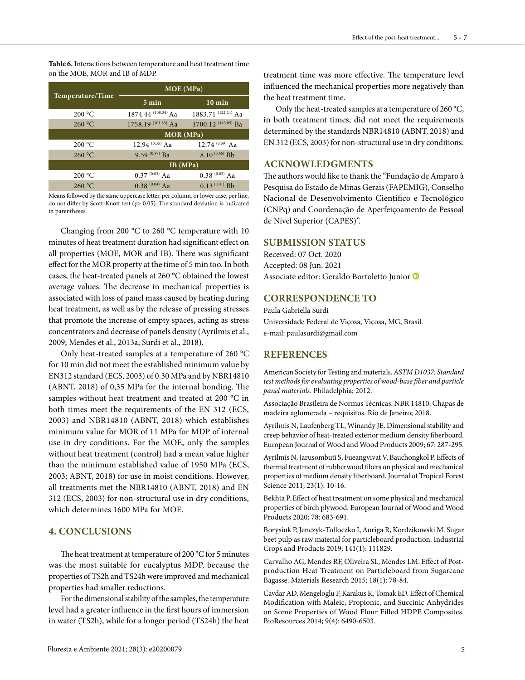**Table 6.** Interactions between temperature and heat treatment time on the MOE, MOR and IB of MDP.

| Temperature/Time | MOE (MPa)                        |                                |
|------------------|----------------------------------|--------------------------------|
|                  | $5 \text{ min}$                  | $10 \text{ min}$               |
| 200 °C           | 1874.44 <sup>(108.34)</sup> Aa   | 1883.71 $(122.24)$ Aa          |
| 260 °C           | $1758.19$ <sup>(101.63)</sup> Aa | 1700.12 <sup>(143.05)</sup> Ba |
|                  | MOR (MPa)                        |                                |
| 200 °C           | 12.94 $(0.55)$ Aa                | 12.74 $(0.59)$ Aa              |
| 260 °C           | $9.59^{(0.97)}$ Ba               | $8.10^{(0.66)}$ Bb             |
|                  | IB(MPa)                          |                                |
| 200 °C           | $0.37^{(0.03)}$ Aa               | $0.38(0.03)$ Aa                |
| 260 °C           | $0.38^{(0.04)}$ Aa               | $0.13^{(0.01)}$ Bb             |

Means followed by the same uppercase letter, per column, or lower case, per line, do not differ by Scott-Knott test (p> 0.05). The standard deviation is indicated in parentheses.

Changing from 200 °C to 260 °C temperature with 10 minutes of heat treatment duration had significant effect on all properties (MOE, MOR and IB). There was significant effect for the MOR property at the time of 5 min too. In both cases, the heat-treated panels at 260 °C obtained the lowest average values. The decrease in mechanical properties is associated with loss of panel mass caused by heating during heat treatment, as well as by the release of pressing stresses that promote the increase of empty spaces, acting as stress concentrators and decrease of panels density (Ayrilmis et al., 2009; Mendes et al., 2013a; Surdi et al., 2018).

Only heat-treated samples at a temperature of 260 °C for 10 min did not meet the established minimum value by EN312 standard (ECS, 2003) of 0.30 MPa and by NBR14810 (ABNT, 2018) of 0,35 MPa for the internal bonding. The samples without heat treatment and treated at 200 °C in both times meet the requirements of the EN 312 (ECS, 2003) and NBR14810 (ABNT, 2018) which establishes minimum value for MOR of 11 MPa for MDP of internal use in dry conditions. For the MOE, only the samples without heat treatment (control) had a mean value higher than the minimum established value of 1950 MPa (ECS, 2003; ABNT, 2018) for use in moist conditions. However, all treatments met the NBR14810 (ABNT, 2018) and EN 312 (ECS, 2003) for non-structural use in dry conditions, which determines 1600 MPa for MOE.

## **4. CONCLUSIONS**

The heat treatment at temperature of 200 °C for 5 minutes was the most suitable for eucalyptus MDP, because the properties of TS2h and TS24h were improved and mechanical properties had smaller reductions.

For the dimensional stability of the samples, the temperature level had a greater influence in the first hours of immersion in water (TS2h), while for a longer period (TS24h) the heat treatment time was more effective. The temperature level influenced the mechanical properties more negatively than the heat treatment time.

Only the heat-treated samples at a temperature of 260 °C, in both treatment times, did not meet the requirements determined by the standards NBR14810 (ABNT, 2018) and EN 312 (ECS, 2003) for non-structural use in dry conditions.

## **ACKNOWLEDGMENTS**

The authors would like to thank the "Fundação de Amparo à Pesquisa do Estado de Minas Gerais (FAPEMIG), Conselho Nacional de Desenvolvimento Científico e Tecnológico (CNPq) and Coordenação de Aperfeiçoamento de Pessoal de Nível Superior (CAPES)".

# **SUBMISSION STATUS**

Received: 07 Oct. 2020 Accepted: 08 Jun. 2021 Associate editor: Geraldo Bortoletto Junior

## **CORRESPONDENCE TO**

Paula Gabriella Surdi Universidade Federal de Viçosa, Viçosa, MG, Brasil. e-mail: paulasurdi@gmail.com

#### **REFERENCES**

American Society for Testing and materials. *ASTM D1037: Standard test methods for evaluating properties of wood-base fiber and particle panel materials.* Philadelphia; 2012.

Associação Brasileira de Normas Técnicas. NBR 14810: Chapas de madeira aglomerada – requisitos. Rio de Janeiro; 2018.

Ayrilmis N, Laufenberg TL, Winandy JE. Dimensional stability and creep behavior of heat-treated exterior medium density fiberboard. European Journal of Wood and Wood Products 2009; 67: 287-295.

Ayrilmis N, Jarusombuti S, Fueangvivat V, Bauchongkol P. Effects of thermal treatment of rubberwood fibers on physical and mechanical properties of medium density fiberboard. Journal of Tropical Forest Science 2011; 23(1): 10-16.

Bekhta P. Effect of heat treatment on some physical and mechanical properties of birch plywood. European Journal of Wood and Wood Products 2020; 78: 683-691.

Borysiuk P, Jenczyk-Tolloczko I, Auriga R, Kordzikowski M. Sugar beet pulp as raw material for particleboard production. Industrial Crops and Products 2019; 141(1): 111829.

Carvalho AG, Mendes RF, Oliveira SL, Mendes LM. Effect of Postproduction Heat Treatment on Particleboard from Sugarcane Bagasse. Materials Research 2015; 18(1): 78-84.

Cavdar AD, Mengeloglu F, Karakus K, Tomak ED. Effect of Chemical Modification with Maleic, Propionic, and Succinic Anhydrides on Some Properties of Wood Flour Filled HDPE Composites. BioResources 2014; 9(4): 6490-6503.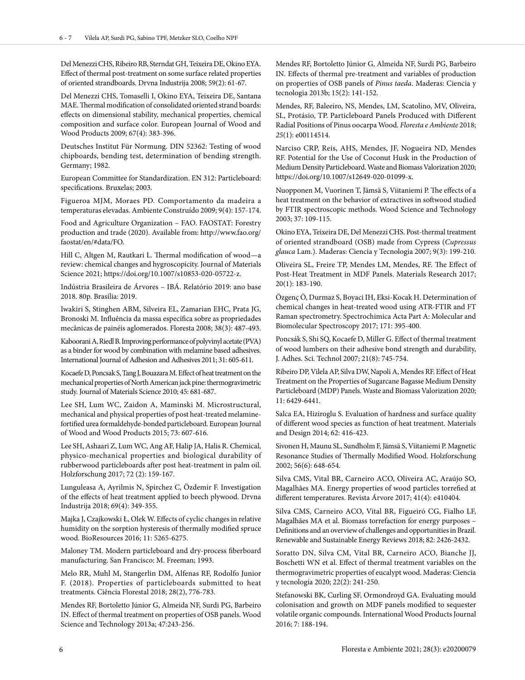Del Menezzi CHS, Ribeiro RB, Sterndat GH, Teixeira DE, Okino EYA. Effect of thermal post-treatment on some surface related properties of oriented strandboards. Drvna Industrija 2008; 59(2): 61-67.

Del Menezzi CHS, Tomaselli I, Okino EYA, Teixeira DE, Santana MAE. Thermal modification of consolidated oriented strand boards: effects on dimensional stability, mechanical properties, chemical composition and surface color. European Journal of Wood and Wood Products 2009; 67(4): 383-396.

Deutsches Institut Für Normung. DIN 52362: Testing of wood chipboards, bending test, determination of bending strength. Germany; 1982.

European Committee for Standardization. EN 312: Particleboard: specifications. Bruxelas; 2003.

Figueroa MJM, Moraes PD. Comportamento da madeira a temperaturas elevadas. Ambiente Construído 2009; 9(4): 157-174.

Food and Agriculture Organization – FAO. FAOSTAT: Forestry production and trade (2020). Available from: http://www.fao.org/ faostat/en/#data/FO.

Hill C, Altgen M, Rautkari L. Thermal modification of wood—a review: chemical changes and hygroscopicity. Journal of Materials Science 2021; https://doi.org/10.1007/s10853-020-05722-z.

Indústria Brasileira de Árvores – IBÁ. Relatório 2019: ano base 2018. 80p. Brasília: 2019.

Iwakiri S, Stinghen ABM, Silveira EL, Zamarian EHC, Prata JG, Bronoski M. Influência da massa específica sobre as propriedades mecânicas de painéis aglomerados. Floresta 2008; 38(3): 487-493.

Kaboorani A, Riedl B. Improving performance of polyvinyl acetate (PVA) as a binder for wood by combination with melamine based adhesives. International Journal of Adhesion and Adhesives 2011; 31: 605-611.

Kocaefe D, Poncsak S, Tang J, Bouazara M. Effect of heat treatment on the mechanical properties of North American jack pine: thermogravimetric study. Journal of Materials Science 2010; 45: 681-687.

Lee SH, Lum WC, Zaidon A, Maminski M. Microstructural, mechanical and physical properties of post heat-treated melaminefortified urea formaldehyde-bonded particleboard. European Journal of Wood and Wood Products 2015; 73: 607-616.

Lee SH, Ashaari Z, Lum WC, Ang AF, Halip JA, Halis R. Chemical, physico-mechanical properties and biological durability of rubberwood particleboards after post heat-treatment in palm oil. Holzforschung 2017; 72 (2): 159-167.

Lunguleasa A, Ayrilmis N, Spirchez C, Özdemir F. Investigation of the effects of heat treatment applied to beech plywood. Drvna Industrija 2018; 69(4): 349-355.

Majka J, Czajkowski Ł, Olek W. Effects of cyclic changes in relative humidity on the sorption hysteresis of thermally modified spruce wood. BioResources 2016; 11: 5265-6275.

Maloney TM. Modern particleboard and dry-process fiberboard manufacturing. San Francisco: M. Freeman; 1993.

Melo RR, Muhl M, Stangerlin DM, Alfenas RF, Rodolfo Junior F. (2018). Properties of particleboards submitted to heat treatments. Ciência Florestal 2018; 28(2), 776-783.

Mendes RF, Bortoletto Júnior G, Almeida NF, Surdi PG, Barbeiro IN. Effect of thermal treatment on properties of OSB panels. Wood Science and Technology 2013a; 47:243-256.

Mendes RF, Bortoletto Júnior G, Almeida NF, Surdi PG, Barbeiro IN. Effects of thermal pre-treatment and variables of production on properties of OSB panels of *Pinus taeda*. Maderas: Ciencia y tecnologia 2013b; 15(2): 141-152.

Mendes, RF, Baleeiro, NS, Mendes, LM, Scatolino, MV, Oliveira, SL, Protásio, TP. Particleboard Panels Produced with Different Radial Positions of Pinus oocarpa Wood. *Floresta e Ambiente* 2018; *25*(1): e00114514.

Narciso CRP, Reis, AHS, Mendes, JF, Nogueira ND, Mendes RF. Potential for the Use of Coconut Husk in the Production of Medium Density Particleboard. Waste and Biomass Valorization 2020; https://doi.org/10.1007/s12649-020-01099-x.

Nuopponen M, Vuorinen T, Jämsä S, Viitaniemi P. The effects of a heat treatment on the behavior of extractives in softwood studied by FTIR spectroscopic methods. Wood Science and Technology 2003; 37: 109-115.

Okino EYA, Teixeira DE, Del Menezzi CHS. Post-thermal treatment of oriented strandboard (OSB) made from Cypress (*Cupressus glauca* Lam.). Maderas: Ciencia y Tecnologia 2007; 9(3): 199-210.

Oliveira SL, Freire TP, Mendes LM, Mendes, RF. The Effect of Post-Heat Treatment in MDF Panels. Materials Research 2017; 20(1): 183-190.

Özgenç Ö, Durmaz S, Boyaci IH, Eksi-Kocak H. Determination of chemical changes in heat-treated wood using ATR-FTIR and FT Raman spectrometry. Spectrochimica Acta Part A: Molecular and Biomolecular Spectroscopy 2017; 171: 395-400.

Poncsák S, Shi SQ, Kocaefe D, Miller G. Effect of thermal treatment of wood lumbers on their adhesive bond strength and durability, J. Adhes. Sci. Technol 2007; 21(8): 745-754.

Ribeiro DP, Vilela AP, Silva DW, Napoli A, Mendes RF. Effect of Heat Treatment on the Properties of Sugarcane Bagasse Medium Density Particleboard (MDP) Panels. Waste and Biomass Valorization 2020; 11: 6429-6441.

Salca EA, Hiziroglu S. Evaluation of hardness and surface quality of different wood species as function of heat treatment. Materials and Design 2014; 62: 416-423.

Sivonen H, Maunu SL, Sundholm F, Jämsä S, Viitaniemi P. Magnetic Resonance Studies of Thermally Modified Wood. Holzforschung 2002; 56(6): 648-654.

Silva CMS, Vital BR, Carneiro ACO, Oliveira AC, Araújo SO, Magalhães MA. Energy properties of wood particles torrefied at different temperatures. Revista Árvore 2017; 41(4): e410404.

Silva CMS, Carneiro ACO, Vital BR, Figueiró CG, Fialho LF, Magalhães MA et al. Biomass torrefaction for energy purposes – Definitions and an overview of challenges and opportunities in Brazil. Renewable and Sustainable Energy Reviews 2018; 82: 2426-2432.

Soratto DN, Silva CM, Vital BR, Carneiro ACO, Bianche JJ, Boschetti WN et al. Effect of thermal treatment variables on the thermogravimetric properties of eucalypt wood. Maderas: Ciencia y tecnología 2020; 22(2): 241-250.

Stefanowski BK, Curling SF, Ormondroyd GA. Evaluating mould colonisation and growth on MDF panels modified to sequester volatile organic compounds. International Wood Products Journal 2016; 7: 188-194.